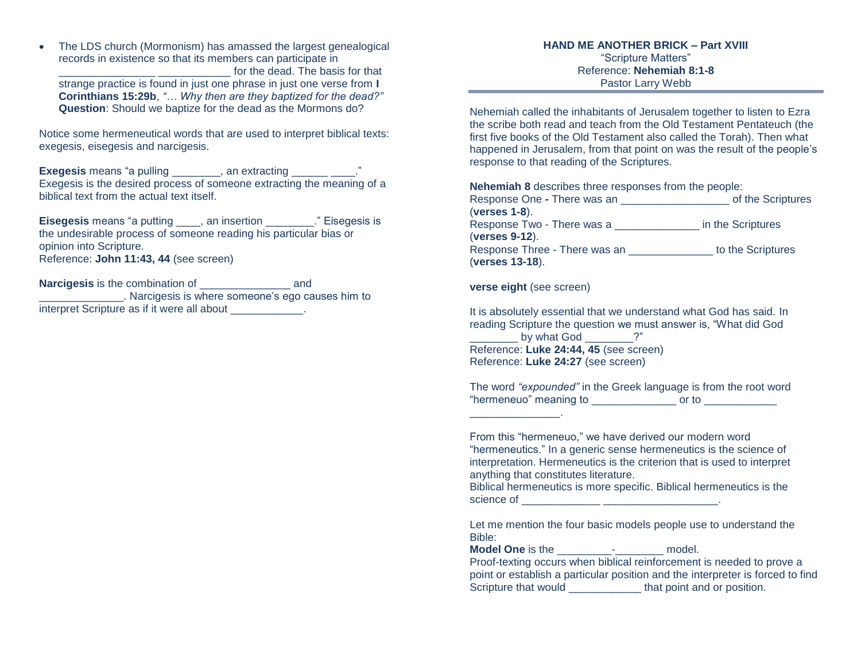The LDS church (Mormonism) has amassed the largest genealogical records in existence so that its members can participate in for the dead. The basis for that strange practice is found in just one phrase in just one verse from **I Corinthians 15:29b**, *"… Why then are they baptized for the dead?"* **Question**: Should we baptize for the dead as the Mormons do?

Notice some hermeneutical words that are used to interpret biblical texts: exegesis, eisegesis and narcigesis.

**Exegesis** means "a pulling \_\_\_\_\_\_\_\_, an extracting \_\_\_\_\_\_\_\_\_ Exegesis is the desired process of someone extracting the meaning of a biblical text from the actual text itself.

**Eisegesis** means "a putting \_\_\_\_, an insertion \_\_\_\_\_\_\_\_." Eisegesis is the undesirable process of someone reading his particular bias or opinion into Scripture. Reference: **John 11:43, 44** (see screen)

**Narcigesis** is the combination of \_\_\_\_\_\_\_\_\_\_\_\_\_\_\_ and \_\_\_\_\_\_\_\_\_\_\_\_\_\_. Narcigesis is where someone's ego causes him to interpret Scripture as if it were all about  $\qquad \qquad$ .

## **HAND ME ANOTHER BRICK – Part XVIII** "Scripture Matters" Reference: **Nehemiah 8:1-8** Pastor Larry Webb

Nehemiah called the inhabitants of Jerusalem together to listen to Ezra the scribe both read and teach from the Old Testament Pentateuch (the first five books of the Old Testament also called the Torah). Then what happened in Jerusalem, from that point on was the result of the people's response to that reading of the Scriptures.

**Nehemiah 8** describes three responses from the people:

| Response One - There was an _ | of the Scriptures |
|-------------------------------|-------------------|
| $(verses 1-8)$ .              |                   |
| Response Two - There was a    | in the Scriptures |
| (verses 9-12).                |                   |
| Response Three - There was an | to the Scriptures |
| (verses 13-18).               |                   |

**verse eight** (see screen)

 $\mathcal{L}=\mathcal{L}^{\mathcal{L}}$  , where  $\mathcal{L}^{\mathcal{L}}$ 

It is absolutely essential that we understand what God has said. In reading Scripture the question we must answer is, "What did God by what God  $\gamma$ " Reference: **Luke 24:44, 45** (see screen) Reference: **Luke 24:27** (see screen)

The word *"expounded"* in the Greek language is from the root word "hermeneuo" meaning to \_\_\_\_\_\_\_\_\_\_\_\_\_\_ or to \_\_\_\_\_\_\_\_\_\_\_\_

From this "hermeneuo," we have derived our modern word "hermeneutics." In a generic sense hermeneutics is the science of interpretation. Hermeneutics is the criterion that is used to interpret anything that constitutes literature.

Biblical hermeneutics is more specific. Biblical hermeneutics is the science of \_\_\_\_\_\_\_\_\_\_\_\_\_ \_\_\_\_\_\_\_\_\_\_\_\_\_\_\_\_\_\_\_.

Let me mention the four basic models people use to understand the Bible:

**Model One** is the \_\_\_\_\_\_\_\_\_-\_\_\_\_\_\_\_\_ model.

| Proof-texting occurs when biblical reinforcement is needed to prove a          |                             |
|--------------------------------------------------------------------------------|-----------------------------|
| point or establish a particular position and the interpreter is forced to find |                             |
| Scripture that would                                                           | that point and or position. |